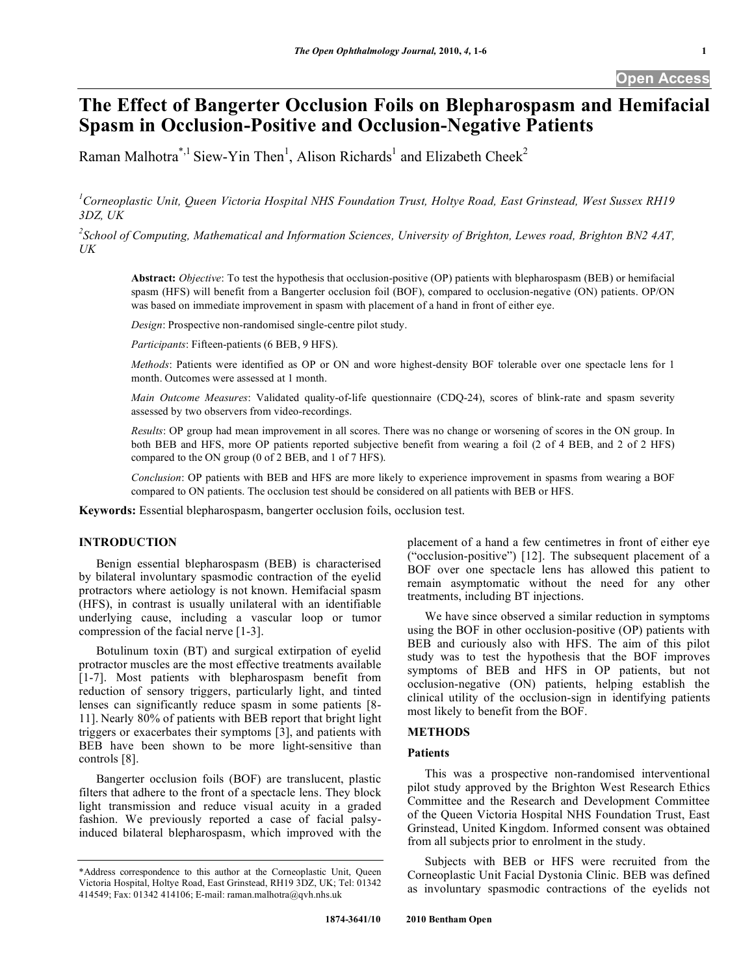# **The Effect of Bangerter Occlusion Foils on Blepharospasm and Hemifacial Spasm in Occlusion-Positive and Occlusion-Negative Patients**

Raman Malhotra\*,<sup>1</sup> Siew-Yin Then<sup>1</sup>, Alison Richards<sup>1</sup> and Elizabeth Cheek<sup>2</sup>

*1 Corneoplastic Unit, Queen Victoria Hospital NHS Foundation Trust, Holtye Road, East Grinstead, West Sussex RH19 3DZ, UK* 

*2 School of Computing, Mathematical and Information Sciences, University of Brighton, Lewes road, Brighton BN2 4AT, UK* 

**Abstract:** *Objective*: To test the hypothesis that occlusion-positive (OP) patients with blepharospasm (BEB) or hemifacial spasm (HFS) will benefit from a Bangerter occlusion foil (BOF), compared to occlusion-negative (ON) patients. OP/ON was based on immediate improvement in spasm with placement of a hand in front of either eye.

*Design*: Prospective non-randomised single-centre pilot study.

*Participants*: Fifteen-patients (6 BEB, 9 HFS).

*Methods*: Patients were identified as OP or ON and wore highest-density BOF tolerable over one spectacle lens for 1 month. Outcomes were assessed at 1 month.

*Main Outcome Measures*: Validated quality-of-life questionnaire (CDQ-24), scores of blink-rate and spasm severity assessed by two observers from video-recordings.

*Results*: OP group had mean improvement in all scores. There was no change or worsening of scores in the ON group. In both BEB and HFS, more OP patients reported subjective benefit from wearing a foil (2 of 4 BEB, and 2 of 2 HFS) compared to the ON group (0 of 2 BEB, and 1 of 7 HFS).

*Conclusion*: OP patients with BEB and HFS are more likely to experience improvement in spasms from wearing a BOF compared to ON patients. The occlusion test should be considered on all patients with BEB or HFS.

**Keywords:** Essential blepharospasm, bangerter occlusion foils, occlusion test.

## **INTRODUCTION**

 Benign essential blepharospasm (BEB) is characterised by bilateral involuntary spasmodic contraction of the eyelid protractors where aetiology is not known. Hemifacial spasm (HFS), in contrast is usually unilateral with an identifiable underlying cause, including a vascular loop or tumor compression of the facial nerve [1-3].

 Botulinum toxin (BT) and surgical extirpation of eyelid protractor muscles are the most effective treatments available [1-7]. Most patients with blepharospasm benefit from reduction of sensory triggers, particularly light, and tinted lenses can significantly reduce spasm in some patients [8- 11]. Nearly 80% of patients with BEB report that bright light triggers or exacerbates their symptoms [3], and patients with BEB have been shown to be more light-sensitive than controls [8].

 Bangerter occlusion foils (BOF) are translucent, plastic filters that adhere to the front of a spectacle lens. They block light transmission and reduce visual acuity in a graded fashion. We previously reported a case of facial palsyinduced bilateral blepharospasm, which improved with the

placement of a hand a few centimetres in front of either eye ("occlusion-positive") [12]. The subsequent placement of a BOF over one spectacle lens has allowed this patient to remain asymptomatic without the need for any other treatments, including BT injections.

 We have since observed a similar reduction in symptoms using the BOF in other occlusion-positive (OP) patients with BEB and curiously also with HFS. The aim of this pilot study was to test the hypothesis that the BOF improves symptoms of BEB and HFS in OP patients, but not occlusion-negative (ON) patients, helping establish the clinical utility of the occlusion-sign in identifying patients most likely to benefit from the BOF.

## **METHODS**

#### **Patients**

 This was a prospective non-randomised interventional pilot study approved by the Brighton West Research Ethics Committee and the Research and Development Committee of the Queen Victoria Hospital NHS Foundation Trust, East Grinstead, United Kingdom. Informed consent was obtained from all subjects prior to enrolment in the study.

 Subjects with BEB or HFS were recruited from the Corneoplastic Unit Facial Dystonia Clinic. BEB was defined as involuntary spasmodic contractions of the eyelids not

<sup>\*</sup>Address correspondence to this author at the Corneoplastic Unit, Queen Victoria Hospital, Holtye Road, East Grinstead, RH19 3DZ, UK; Tel: 01342 414549; Fax: 01342 414106; E-mail: raman.malhotra@qvh.nhs.uk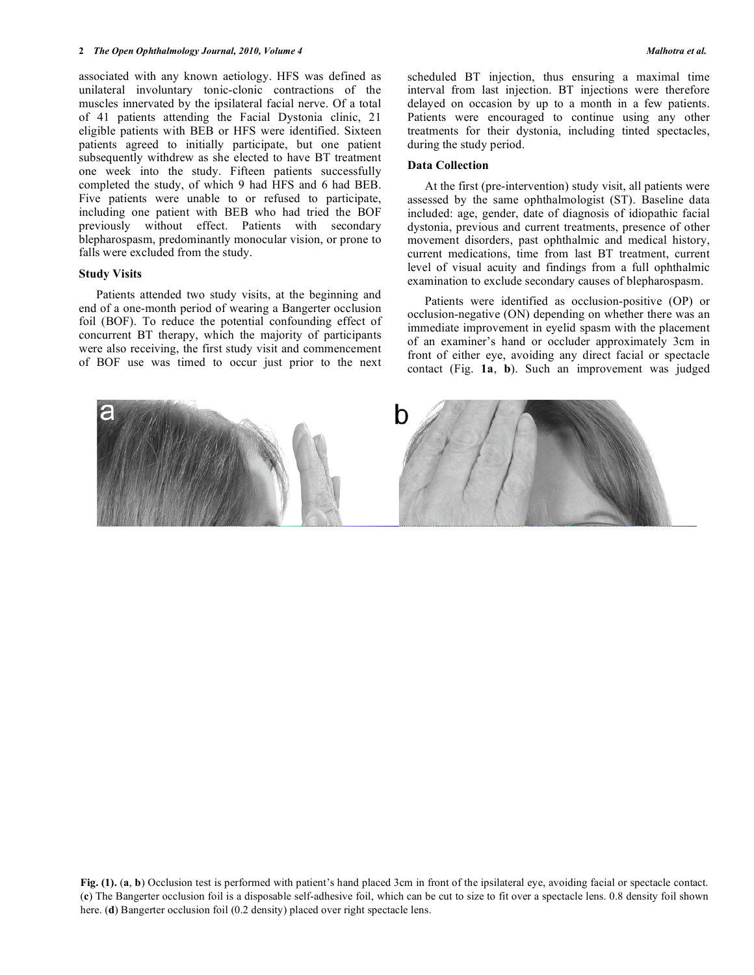associated with any known aetiology. HFS was defined as unilateral involuntary tonic-clonic contractions of the muscles innervated by the ipsilateral facial nerve. Of a total of 41 patients attending the Facial Dystonia clinic, 21 eligible patients with BEB or HFS were identified. Sixteen patients agreed to initially participate, but one patient subsequently withdrew as she elected to have BT treatment one week into the study. Fifteen patients successfully completed the study, of which 9 had HFS and 6 had BEB. Five patients were unable to or refused to participate, including one patient with BEB who had tried the BOF previously without effect. Patients with secondary blepharospasm, predominantly monocular vision, or prone to falls were excluded from the study.

#### **Study Visits**

 Patients attended two study visits, at the beginning and end of a one-month period of wearing a Bangerter occlusion foil (BOF). To reduce the potential confounding effect of concurrent BT therapy, which the majority of participants were also receiving, the first study visit and commencement of BOF use was timed to occur just prior to the next

scheduled BT injection, thus ensuring a maximal time interval from last injection. BT injections were therefore delayed on occasion by up to a month in a few patients. Patients were encouraged to continue using any other treatments for their dystonia, including tinted spectacles, during the study period.

### **Data Collection**

 At the first (pre-intervention) study visit, all patients were assessed by the same ophthalmologist (ST). Baseline data included: age, gender, date of diagnosis of idiopathic facial dystonia, previous and current treatments, presence of other movement disorders, past ophthalmic and medical history, current medications, time from last BT treatment, current level of visual acuity and findings from a full ophthalmic examination to exclude secondary causes of blepharospasm.

 Patients were identified as occlusion-positive (OP) or occlusion-negative (ON) depending on whether there was an immediate improvement in eyelid spasm with the placement of an examiner's hand or occluder approximately 3cm in front of either eye, avoiding any direct facial or spectacle contact (Fig. **1a**, **b**). Such an improvement was judged

**Fig. (1).** (**a**, **b**) Occlusion test is performed with patient's hand placed 3cm in front of the ipsilateral eye, avoiding facial or spectacle contact. (**c**) The Bangerter occlusion foil is a disposable self-adhesive foil, which can be cut to size to fit over a spectacle lens. 0.8 density foil shown here. (**d**) Bangerter occlusion foil (0.2 density) placed over right spectacle lens.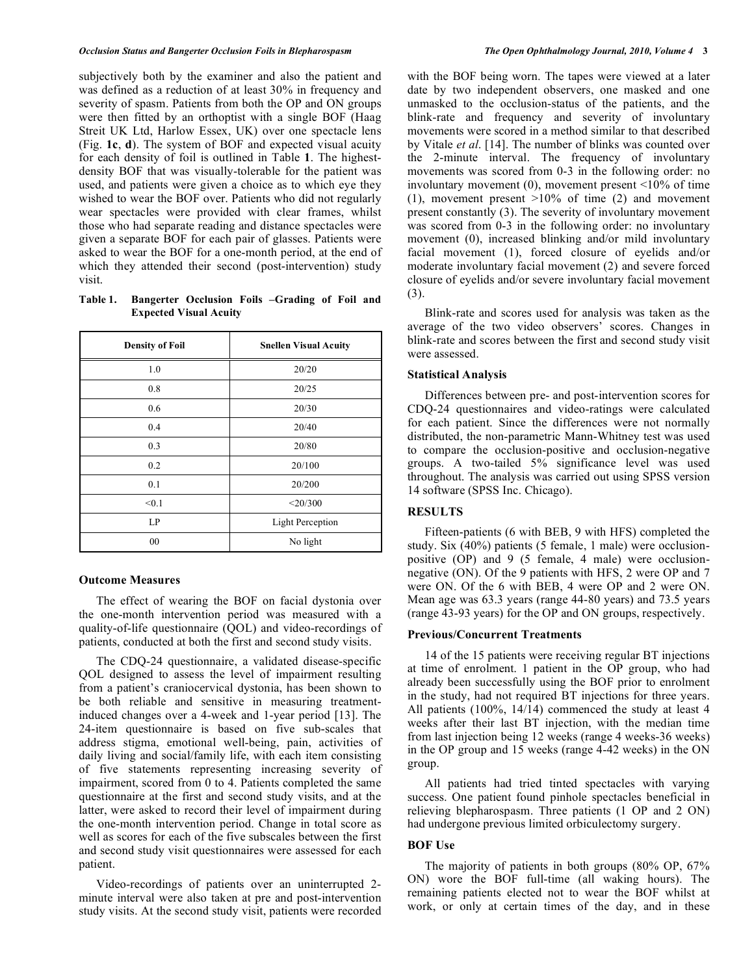subjectively both by the examiner and also the patient and was defined as a reduction of at least 30% in frequency and severity of spasm. Patients from both the OP and ON groups were then fitted by an orthoptist with a single BOF (Haag Streit UK Ltd, Harlow Essex, UK) over one spectacle lens (Fig. **1c**, **d**). The system of BOF and expected visual acuity for each density of foil is outlined in Table **1**. The highestdensity BOF that was visually-tolerable for the patient was used, and patients were given a choice as to which eye they wished to wear the BOF over. Patients who did not regularly wear spectacles were provided with clear frames, whilst those who had separate reading and distance spectacles were given a separate BOF for each pair of glasses. Patients were asked to wear the BOF for a one-month period, at the end of which they attended their second (post-intervention) study visit.

**Table 1. Bangerter Occlusion Foils –Grading of Foil and Expected Visual Acuity** 

| <b>Density of Foil</b> | <b>Snellen Visual Acuity</b> |  |  |  |  |
|------------------------|------------------------------|--|--|--|--|
| 1.0                    | 20/20                        |  |  |  |  |
| 0.8                    | 20/25                        |  |  |  |  |
| 0.6                    | 20/30                        |  |  |  |  |
| 0.4                    | 20/40                        |  |  |  |  |
| 0.3                    | 20/80                        |  |  |  |  |
| 0.2                    | 20/100                       |  |  |  |  |
| 0.1                    | 20/200                       |  |  |  |  |
| < 0.1                  | $<$ 20/300                   |  |  |  |  |
| LP                     | <b>Light Perception</b>      |  |  |  |  |
| 00                     | No light                     |  |  |  |  |

### **Outcome Measures**

 The effect of wearing the BOF on facial dystonia over the one-month intervention period was measured with a quality-of-life questionnaire (QOL) and video-recordings of patients, conducted at both the first and second study visits.

 The CDQ-24 questionnaire, a validated disease-specific QOL designed to assess the level of impairment resulting from a patient's craniocervical dystonia, has been shown to be both reliable and sensitive in measuring treatmentinduced changes over a 4-week and 1-year period [13]. The 24-item questionnaire is based on five sub-scales that address stigma, emotional well-being, pain, activities of daily living and social/family life, with each item consisting of five statements representing increasing severity of impairment, scored from 0 to 4. Patients completed the same questionnaire at the first and second study visits, and at the latter, were asked to record their level of impairment during the one-month intervention period. Change in total score as well as scores for each of the five subscales between the first and second study visit questionnaires were assessed for each patient.

 Video-recordings of patients over an uninterrupted 2 minute interval were also taken at pre and post-intervention study visits. At the second study visit, patients were recorded

with the BOF being worn. The tapes were viewed at a later date by two independent observers, one masked and one unmasked to the occlusion-status of the patients, and the blink-rate and frequency and severity of involuntary movements were scored in a method similar to that described by Vitale *et al*. [14]. The number of blinks was counted over the 2-minute interval. The frequency of involuntary movements was scored from 0-3 in the following order: no involuntary movement  $(0)$ , movement present  $\leq 10\%$  of time (1), movement present  $>10\%$  of time (2) and movement present constantly (3). The severity of involuntary movement was scored from 0-3 in the following order: no involuntary movement (0), increased blinking and/or mild involuntary facial movement (1), forced closure of eyelids and/or moderate involuntary facial movement (2) and severe forced closure of eyelids and/or severe involuntary facial movement (3).

 Blink-rate and scores used for analysis was taken as the average of the two video observers' scores. Changes in blink-rate and scores between the first and second study visit were assessed.

## **Statistical Analysis**

 Differences between pre- and post-intervention scores for CDQ-24 questionnaires and video-ratings were calculated for each patient. Since the differences were not normally distributed, the non-parametric Mann-Whitney test was used to compare the occlusion-positive and occlusion-negative groups. A two-tailed 5% significance level was used throughout. The analysis was carried out using SPSS version 14 software (SPSS Inc. Chicago).

## **RESULTS**

 Fifteen-patients (6 with BEB, 9 with HFS) completed the study. Six (40%) patients (5 female, 1 male) were occlusionpositive (OP) and 9 (5 female, 4 male) were occlusionnegative (ON). Of the 9 patients with HFS, 2 were OP and 7 were ON. Of the 6 with BEB, 4 were OP and 2 were ON. Mean age was 63.3 years (range 44-80 years) and 73.5 years (range 43-93 years) for the OP and ON groups, respectively.

#### **Previous/Concurrent Treatments**

 14 of the 15 patients were receiving regular BT injections at time of enrolment. 1 patient in the OP group, who had already been successfully using the BOF prior to enrolment in the study, had not required BT injections for three years. All patients (100%, 14/14) commenced the study at least 4 weeks after their last BT injection, with the median time from last injection being 12 weeks (range 4 weeks-36 weeks) in the OP group and 15 weeks (range 4-42 weeks) in the ON group.

 All patients had tried tinted spectacles with varying success. One patient found pinhole spectacles beneficial in relieving blepharospasm. Three patients (1 OP and 2 ON) had undergone previous limited orbiculectomy surgery.

## **BOF Use**

 The majority of patients in both groups (80% OP, 67% ON) wore the BOF full-time (all waking hours). The remaining patients elected not to wear the BOF whilst at work, or only at certain times of the day, and in these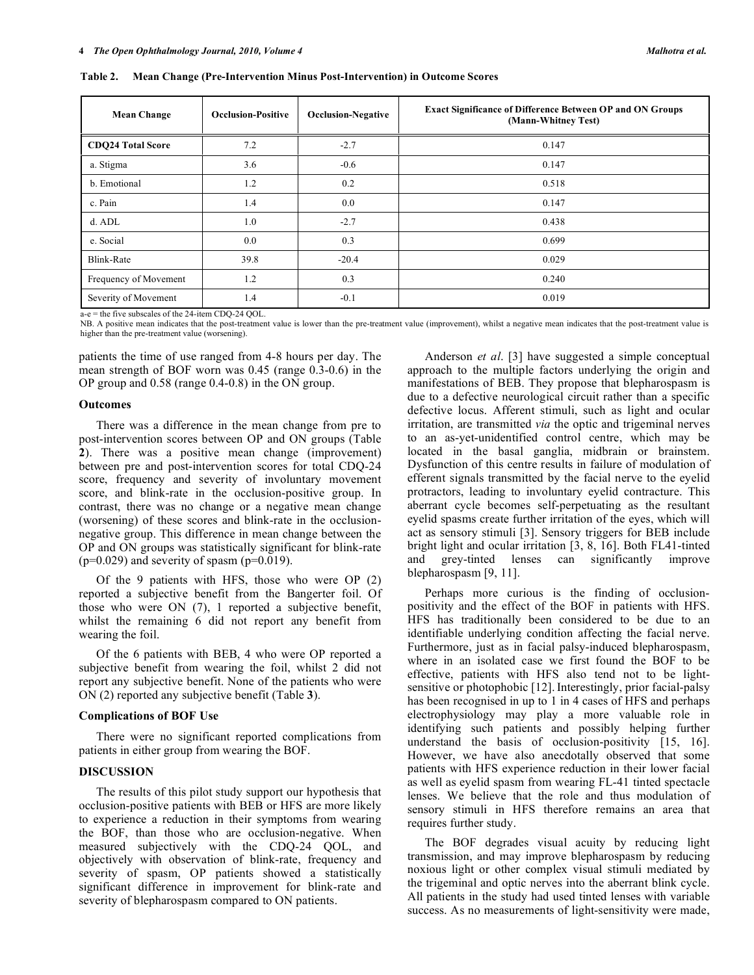**Mean Change Occlusion-Positive Occlusion-Negative Exact Significance of Difference Between OP and ON Groups (Mann-Whitney Test) CDQ24 Total Score 12.2 12.2 12.7 12.2 12.7 12.2 12.7 12.2 12.7 12.147** a. Stigma 3.6 -0.6 0.147 b. Emotional 1.2 0.2 0.518 c. Pain 1.4 0.0 0.147 d. ADL 1.0 1.0 -2.7 0.438 e. Social 0.0 0.699 Blink-Rate 19.0029 -20.4 0.029 Frequency of Movement  $1.2$   $0.3$   $0.240$ Severity of Movement 1.4 -0.1 0.019

**Table 2. Mean Change (Pre-Intervention Minus Post-Intervention) in Outcome Scores** 

a-e = the five subscales of the 24-item CDQ-24 QOL.

NB. A positive mean indicates that the post-treatment value is lower than the pre-treatment value (improvement), whilst a negative mean indicates that the post-treatment value is higher than the pre-treatment value (worsening).

patients the time of use ranged from 4-8 hours per day. The mean strength of BOF worn was 0.45 (range 0.3-0.6) in the OP group and 0.58 (range 0.4-0.8) in the ON group.

#### **Outcomes**

 There was a difference in the mean change from pre to post-intervention scores between OP and ON groups (Table **2**). There was a positive mean change (improvement) between pre and post-intervention scores for total CDQ-24 score, frequency and severity of involuntary movement score, and blink-rate in the occlusion-positive group. In contrast, there was no change or a negative mean change (worsening) of these scores and blink-rate in the occlusionnegative group. This difference in mean change between the OP and ON groups was statistically significant for blink-rate  $(p=0.029)$  and severity of spasm  $(p=0.019)$ .

 Of the 9 patients with HFS, those who were OP (2) reported a subjective benefit from the Bangerter foil. Of those who were ON (7), 1 reported a subjective benefit, whilst the remaining 6 did not report any benefit from wearing the foil.

 Of the 6 patients with BEB, 4 who were OP reported a subjective benefit from wearing the foil, whilst 2 did not report any subjective benefit. None of the patients who were ON (2) reported any subjective benefit (Table **3**).

#### **Complications of BOF Use**

 There were no significant reported complications from patients in either group from wearing the BOF.

## **DISCUSSION**

 The results of this pilot study support our hypothesis that occlusion-positive patients with BEB or HFS are more likely to experience a reduction in their symptoms from wearing the BOF, than those who are occlusion-negative. When measured subjectively with the CDQ-24 QOL, and objectively with observation of blink-rate, frequency and severity of spasm, OP patients showed a statistically significant difference in improvement for blink-rate and severity of blepharospasm compared to ON patients.

 Anderson *et al*. [3] have suggested a simple conceptual approach to the multiple factors underlying the origin and manifestations of BEB. They propose that blepharospasm is due to a defective neurological circuit rather than a specific defective locus. Afferent stimuli, such as light and ocular irritation, are transmitted *via* the optic and trigeminal nerves to an as-yet-unidentified control centre, which may be located in the basal ganglia, midbrain or brainstem. Dysfunction of this centre results in failure of modulation of efferent signals transmitted by the facial nerve to the eyelid protractors, leading to involuntary eyelid contracture. This aberrant cycle becomes self-perpetuating as the resultant eyelid spasms create further irritation of the eyes, which will act as sensory stimuli [3]. Sensory triggers for BEB include bright light and ocular irritation [3, 8, 16]. Both FL41-tinted and grey-tinted lenses can significantly improve blepharospasm [9, 11].

 Perhaps more curious is the finding of occlusionpositivity and the effect of the BOF in patients with HFS. HFS has traditionally been considered to be due to an identifiable underlying condition affecting the facial nerve. Furthermore, just as in facial palsy-induced blepharospasm, where in an isolated case we first found the BOF to be effective, patients with HFS also tend not to be lightsensitive or photophobic [12]. Interestingly, prior facial-palsy has been recognised in up to 1 in 4 cases of HFS and perhaps electrophysiology may play a more valuable role in identifying such patients and possibly helping further understand the basis of occlusion-positivity [15, 16]. However, we have also anecdotally observed that some patients with HFS experience reduction in their lower facial as well as eyelid spasm from wearing FL-41 tinted spectacle lenses. We believe that the role and thus modulation of sensory stimuli in HFS therefore remains an area that requires further study.

 The BOF degrades visual acuity by reducing light transmission, and may improve blepharospasm by reducing noxious light or other complex visual stimuli mediated by the trigeminal and optic nerves into the aberrant blink cycle. All patients in the study had used tinted lenses with variable success. As no measurements of light-sensitivity were made,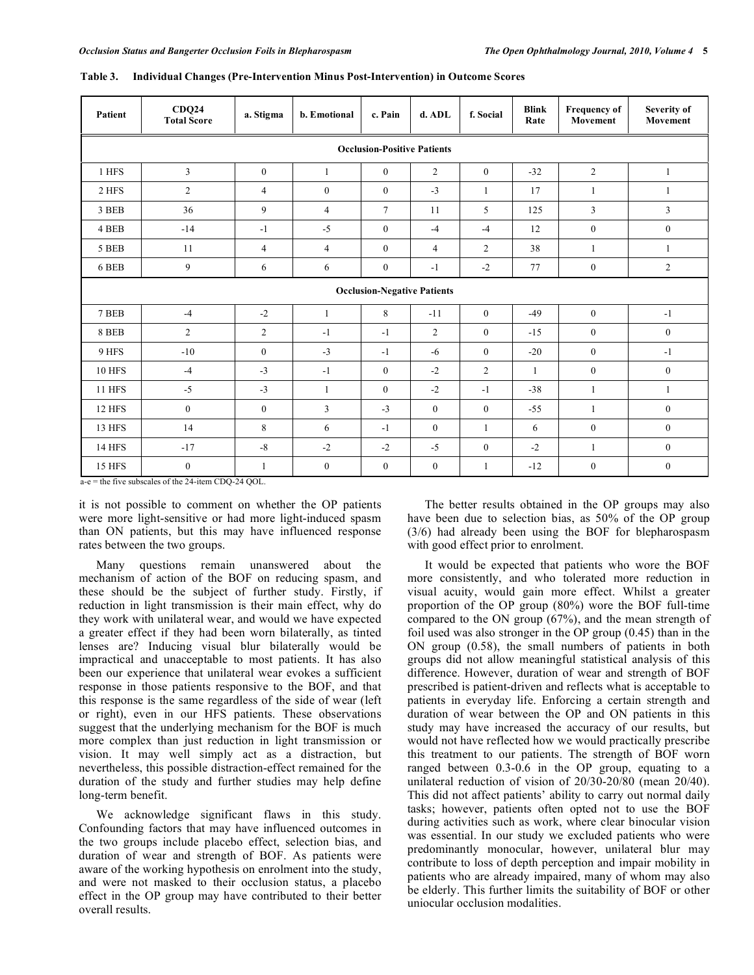| Patient                            | CDQ24<br><b>Total Score</b>                                            | a. Stigma      | b. Emotional   | c. Pain          | d. ADL           | f. Social        | <b>Blink</b><br>Rate | <b>Frequency of</b><br>Movement | Severity of<br>Movement |
|------------------------------------|------------------------------------------------------------------------|----------------|----------------|------------------|------------------|------------------|----------------------|---------------------------------|-------------------------|
| <b>Occlusion-Positive Patients</b> |                                                                        |                |                |                  |                  |                  |                      |                                 |                         |
| 1 HFS                              | 3                                                                      | $\mathbf{0}$   | 1              | $\boldsymbol{0}$ | $\overline{2}$   | $\boldsymbol{0}$ | $-32$                | $\overline{2}$                  | 1                       |
| 2 HFS                              | $\overline{c}$                                                         | $\overline{4}$ | $\overline{0}$ | $\boldsymbol{0}$ | $-3$             | 1                | 17                   | 1                               | $\mathbf{1}$            |
| 3 BEB                              | 36                                                                     | 9              | $\overline{4}$ | $\tau$           | 11               | 5                | 125                  | $\overline{3}$                  | $\overline{3}$          |
| 4 BEB                              | $-14$                                                                  | $-1$           | $-5$           | $\mathbf{0}$     | $-4$             | $-4$             | 12                   | $\boldsymbol{0}$                | $\boldsymbol{0}$        |
| 5 BEB                              | 11                                                                     | 4              | $\overline{4}$ | $\boldsymbol{0}$ | $\overline{4}$   | $\overline{2}$   | 38                   |                                 | 1                       |
| 6 BEB                              | 9                                                                      | 6              | 6              | $\boldsymbol{0}$ | $-1$             | $-2$             | 77                   | $\boldsymbol{0}$                | $\overline{2}$          |
| <b>Occlusion-Negative Patients</b> |                                                                        |                |                |                  |                  |                  |                      |                                 |                         |
| 7 BEB                              | $-4$                                                                   | $-2$           | $\mathbf{1}$   | 8                | $-11$            | $\bf{0}$         | $-49$                | $\mathbf{0}$                    | $-1$                    |
| 8 BEB                              | $\overline{c}$                                                         | $\overline{c}$ | $-1$           | $-1$             | $\overline{c}$   | $\boldsymbol{0}$ | $-15$                | $\mathbf{0}$                    | $\mathbf{0}$            |
| 9 HFS                              | $-10$                                                                  | $\mathbf{0}$   | $-3$           | $-1$             | $-6$             | $\boldsymbol{0}$ | $-20$                | $\mathbf{0}$                    | $-1$                    |
| <b>10 HFS</b>                      | $-4$                                                                   | $-3$           | $-1$           | $\boldsymbol{0}$ | $-2$             | $\overline{c}$   | $\mathbf{1}$         | $\mathbf{0}$                    | $\mathbf{0}$            |
| <b>11 HFS</b>                      | $-5$                                                                   | $-3$           | 1              | $\boldsymbol{0}$ | $-2$             | $-1$             | $-38$                | 1                               | $\mathbf{1}$            |
| 12 HFS                             | $\mathbf{0}$                                                           | $\mathbf{0}$   | 3              | $-3$             | $\mathbf{0}$     | $\boldsymbol{0}$ | $-55$                | $\mathbf{1}$                    | $\mathbf{0}$            |
| 13 HFS                             | 14                                                                     | 8              | 6              | $-1$             | $\boldsymbol{0}$ | $\mathbf{1}$     | 6                    | $\mathbf{0}$                    | $\mathbf{0}$            |
| <b>14 HFS</b>                      | $-17$                                                                  | $-8$           | $-2$           | $-2$             | $-5$             | $\boldsymbol{0}$ | $-2$                 | 1                               | $\overline{0}$          |
| <b>15 HFS</b>                      | $\boldsymbol{0}$<br>$a =$ the five subscript of the 24 item CDO 24 OOL | $\mathbf{1}$   | $\mathbf{0}$   | $\boldsymbol{0}$ | $\boldsymbol{0}$ | $\mathbf{1}$     | $-12$                | $\boldsymbol{0}$                | $\boldsymbol{0}$        |

a-e = the five subscales of the 24-item CDQ-24 QOL.

it is not possible to comment on whether the OP patients were more light-sensitive or had more light-induced spasm than ON patients, but this may have influenced response rates between the two groups.

 Many questions remain unanswered about the mechanism of action of the BOF on reducing spasm, and these should be the subject of further study. Firstly, if reduction in light transmission is their main effect, why do they work with unilateral wear, and would we have expected a greater effect if they had been worn bilaterally, as tinted lenses are? Inducing visual blur bilaterally would be impractical and unacceptable to most patients. It has also been our experience that unilateral wear evokes a sufficient response in those patients responsive to the BOF, and that this response is the same regardless of the side of wear (left or right), even in our HFS patients. These observations suggest that the underlying mechanism for the BOF is much more complex than just reduction in light transmission or vision. It may well simply act as a distraction, but nevertheless, this possible distraction-effect remained for the duration of the study and further studies may help define long-term benefit.

 We acknowledge significant flaws in this study. Confounding factors that may have influenced outcomes in the two groups include placebo effect, selection bias, and duration of wear and strength of BOF. As patients were aware of the working hypothesis on enrolment into the study, and were not masked to their occlusion status, a placebo effect in the OP group may have contributed to their better overall results.

 The better results obtained in the OP groups may also have been due to selection bias, as 50% of the OP group (3/6) had already been using the BOF for blepharospasm with good effect prior to enrolment.

 It would be expected that patients who wore the BOF more consistently, and who tolerated more reduction in visual acuity, would gain more effect. Whilst a greater proportion of the OP group (80%) wore the BOF full-time compared to the ON group (67%), and the mean strength of foil used was also stronger in the OP group (0.45) than in the ON group (0.58), the small numbers of patients in both groups did not allow meaningful statistical analysis of this difference. However, duration of wear and strength of BOF prescribed is patient-driven and reflects what is acceptable to patients in everyday life. Enforcing a certain strength and duration of wear between the OP and ON patients in this study may have increased the accuracy of our results, but would not have reflected how we would practically prescribe this treatment to our patients. The strength of BOF worn ranged between 0.3-0.6 in the OP group, equating to a unilateral reduction of vision of 20/30-20/80 (mean 20/40). This did not affect patients' ability to carry out normal daily tasks; however, patients often opted not to use the BOF during activities such as work, where clear binocular vision was essential. In our study we excluded patients who were predominantly monocular, however, unilateral blur may contribute to loss of depth perception and impair mobility in patients who are already impaired, many of whom may also be elderly. This further limits the suitability of BOF or other uniocular occlusion modalities.